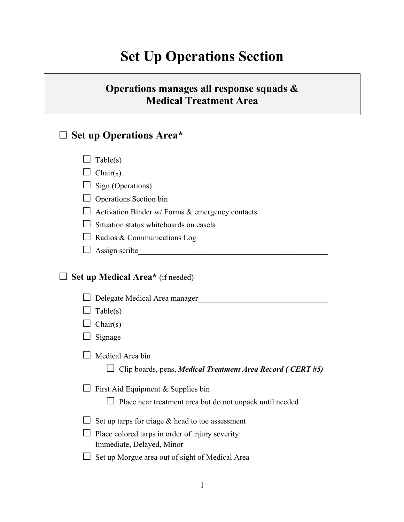# **Set Up Operations Section**

## **Operations manages all response squads & Medical Treatment Area**

## □ **Set up Operations Area\***

 $\Box$  Chair(s)

 $\Box$  Sign (Operations)

 $\Box$  Operations Section bin

 $\Box$  Activation Binder w/ Forms & emergency contacts

 $\Box$  Situation status whiteboards on easels

 $\Box$  Radios & Communications Log

 $\Box$  Assign scribe

#### □ **Set up Medical Area\*** (if needed)

 $\Box$  Delegate Medical Area manager

 $\Box$  Table(s)

 $\Box$  Chair(s)

 $\Box$  Signage

 $\Box$  Medical Area bin

□ Clip boards, pens, *Medical Treatment Area Record ( CERT #5)*

 $\Box$  First Aid Equipment & Supplies bin

 $\Box$  Place near treatment area but do not unpack until needed

 $\Box$  Set up tarps for triage & head to toe assessment

 $\Box$  Place colored tarps in order of injury severity: Immediate, Delayed, Minor

 $\Box$  Set up Morgue area out of sight of Medical Area